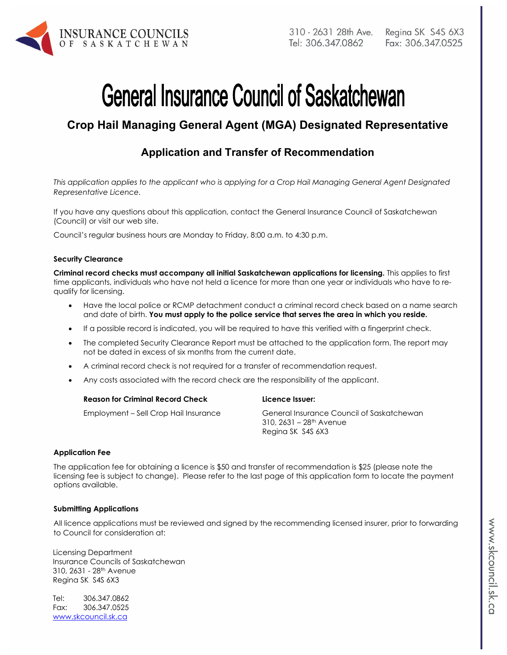

# **General Insurance Council of Saskatchewan**

# **Crop Hail Managing General Agent (MGA) Designated Representative**

## **Application and Transfer of Recommendation**

*This application applies to the applicant who is applying for a Crop Hail Managing General Agent Designated Representative Licence.* 

If you have any questions about this application, contact the General Insurance Council of Saskatchewan (Council) or visit our web site.

Council's regular business hours are Monday to Friday, 8:00 a.m. to 4:30 p.m.

#### **Security Clearance**

**Criminal record checks must accompany all initial Saskatchewan applications for licensing.** This applies to first time applicants, individuals who have not held a licence for more than one year or individuals who have to requalify for licensing.

- Have the local police or RCMP detachment conduct a criminal record check based on a name search and date of birth. **You must apply to the police service that serves the area in which you reside.**
- If a possible record is indicated, you will be required to have this verified with a fingerprint check.
- The completed Security Clearance Report must be attached to the application form. The report may not be dated in excess of six months from the current date.
- A criminal record check is not required for a transfer of recommendation request.
- Any costs associated with the record check are the responsibility of the applicant.

| <b>Reason for Criminal Record Check</b> | Licence Issuer:                                                                                       |
|-----------------------------------------|-------------------------------------------------------------------------------------------------------|
| Employment – Sell Crop Hail Insurance   | General Insurance Council of Saskatchewan<br>310, 2631 – 28 <sup>th</sup> Avenue<br>Regina SK S4S 6X3 |

#### **Application Fee**

The application fee for obtaining a licence is \$50 and transfer of recommendation is \$25 (please note the licensing fee is subject to change). Please refer to the last page of this application form to locate the payment options available.

#### **Submitting Applications**

All licence applications must be reviewed and signed by the recommending licensed insurer, prior to forwarding to Council for consideration at:

Licensing Department Insurance Councils of Saskatchewan 310, 2631 - 28th Avenue Regina SK S4S 6X3

Tel: 306.347.0862 Fax: 306.347.0525 www.skcouncil.sk.ca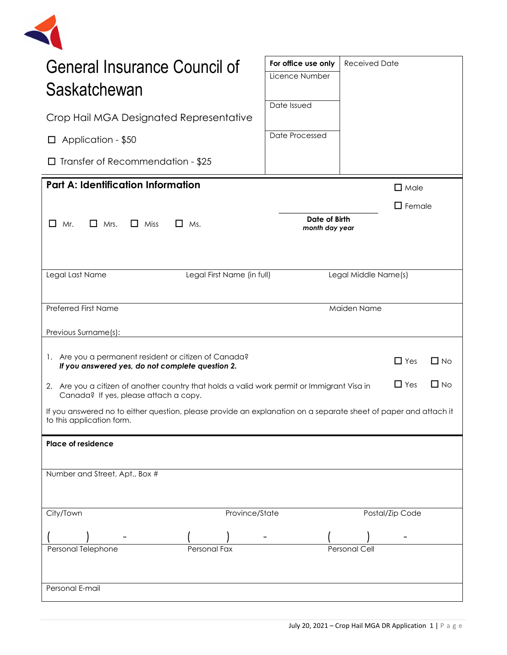| General Insurance Council of<br>Saskatchewan                                                                                                                    | For office use only<br>Licence Number | <b>Received Date</b> |                 |  |
|-----------------------------------------------------------------------------------------------------------------------------------------------------------------|---------------------------------------|----------------------|-----------------|--|
| Crop Hail MGA Designated Representative                                                                                                                         | Date Issued                           |                      |                 |  |
| $\Box$ Application - \$50                                                                                                                                       | Date Processed                        |                      |                 |  |
| $\Box$ Transfer of Recommendation - \$25                                                                                                                        |                                       |                      |                 |  |
| <b>Part A: Identification Information</b>                                                                                                                       |                                       |                      | $\Box$ Male     |  |
|                                                                                                                                                                 |                                       |                      | $\Box$ Female   |  |
| $\Box$ Miss<br>Mr.<br>$\Box$ Mrs.<br>$\Box$ Ms.<br>$\mathsf{L}$                                                                                                 | Date of Birth<br>month day year       |                      |                 |  |
|                                                                                                                                                                 |                                       |                      |                 |  |
| Legal First Name (in full)<br>Legal Last Name                                                                                                                   |                                       | Legal Middle Name(s) |                 |  |
|                                                                                                                                                                 |                                       |                      |                 |  |
| <b>Preferred First Name</b>                                                                                                                                     |                                       | Maiden Name          |                 |  |
| Previous Surname(s):                                                                                                                                            |                                       |                      |                 |  |
| 1. Are you a permanent resident or citizen of Canada?<br>$\Box$ No<br>$\Box$ Yes<br>If you answered yes, do not complete question 2.                            |                                       |                      |                 |  |
| $\Box$ Yes<br>$\Box$ No<br>2. Are you a citizen of another country that holds a valid work permit or Immigrant Visa in<br>Canada? If yes, please attach a copy. |                                       |                      |                 |  |
| If you answered no to either question, please provide an explanation on a separate sheet of paper and attach it<br>to this application form.                    |                                       |                      |                 |  |
| Place of residence                                                                                                                                              |                                       |                      |                 |  |
|                                                                                                                                                                 |                                       |                      |                 |  |
| Number and Street, Apt., Box #                                                                                                                                  |                                       |                      |                 |  |
|                                                                                                                                                                 |                                       |                      |                 |  |
| Province/State<br>City/Town                                                                                                                                     |                                       |                      | Postal/Zip Code |  |
|                                                                                                                                                                 |                                       |                      |                 |  |
| Personal Telephone<br>Personal Fax                                                                                                                              |                                       | <b>Personal Cell</b> |                 |  |
|                                                                                                                                                                 |                                       |                      |                 |  |
| Personal E-mail                                                                                                                                                 |                                       |                      |                 |  |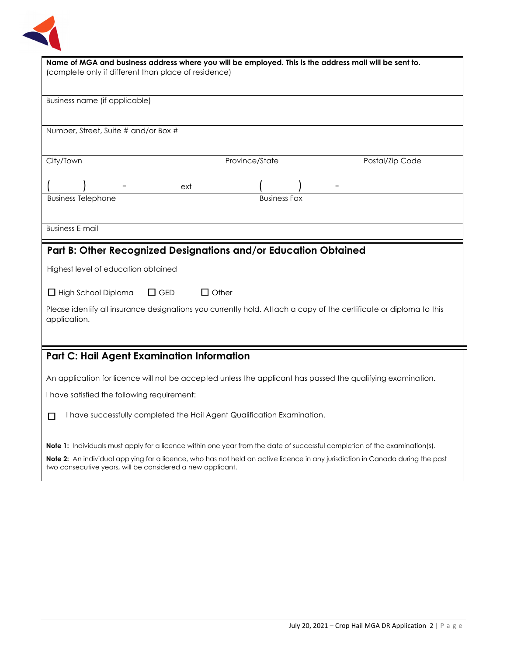

| Name of MGA and business address where you will be employed. This is the address mail will be sent to.<br>(complete only if different than place of residence) |  |  |  |
|----------------------------------------------------------------------------------------------------------------------------------------------------------------|--|--|--|
| Business name (if applicable)                                                                                                                                  |  |  |  |
|                                                                                                                                                                |  |  |  |
| Number, Street, Suite # and/or Box #                                                                                                                           |  |  |  |
|                                                                                                                                                                |  |  |  |
| City/Town<br>Province/State<br>Postal/Zip Code                                                                                                                 |  |  |  |
| ext                                                                                                                                                            |  |  |  |
| <b>Business Telephone</b><br><b>Business Fax</b>                                                                                                               |  |  |  |
|                                                                                                                                                                |  |  |  |
| <b>Business E-mail</b>                                                                                                                                         |  |  |  |
| Part B: Other Recognized Designations and/or Education Obtained                                                                                                |  |  |  |
| Highest level of education obtained                                                                                                                            |  |  |  |
| $\Box$ GED<br>$\Box$ Other<br>$\Box$ High School Diploma                                                                                                       |  |  |  |
| Please identify all insurance designations you currently hold. Attach a copy of the certificate or diploma to this<br>application.                             |  |  |  |
|                                                                                                                                                                |  |  |  |
| <b>Part C: Hail Agent Examination Information</b>                                                                                                              |  |  |  |
| An application for licence will not be accepted unless the applicant has passed the qualifying examination.                                                    |  |  |  |
| I have satisfied the following requirement:                                                                                                                    |  |  |  |
| I have successfully completed the Hail Agent Qualification Examination.<br>П                                                                                   |  |  |  |
| <b>Note 1:</b> Individuals must apply for a licence within one year from the date of successful completion of the examination(s).                              |  |  |  |
| <b>Note 2:</b> An individual applying for a licence, who has not held an active licence in any jurisdiction in Canada during the past                          |  |  |  |

two consecutive years, will be considered a new applicant.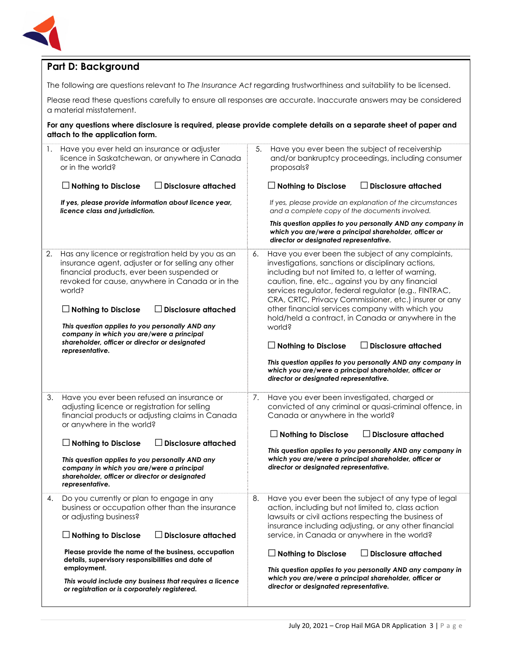

## **Part D: Background**

The following are questions relevant to *The Insurance Act* regarding trustworthiness and suitability to be licensed.

Please read these questions carefully to ensure all responses are accurate. Inaccurate answers may be considered a material misstatement.

**For any questions where disclosure is required, please provide complete details on a separate sheet of paper and attach to the application form.**

| 1. | Have you ever held an insurance or adjuster<br>licence in Saskatchewan, or anywhere in Canada<br>or in the world?                                                                                                                                                                                                                 | 5.                                                                                                                                                                                                                                                                                                                                                                                                                                                            | Have you ever been the subject of receivership<br>and/or bankruptcy proceedings, including consumer<br>proposals?                                                                                                          |
|----|-----------------------------------------------------------------------------------------------------------------------------------------------------------------------------------------------------------------------------------------------------------------------------------------------------------------------------------|---------------------------------------------------------------------------------------------------------------------------------------------------------------------------------------------------------------------------------------------------------------------------------------------------------------------------------------------------------------------------------------------------------------------------------------------------------------|----------------------------------------------------------------------------------------------------------------------------------------------------------------------------------------------------------------------------|
|    | $\Box$ Nothing to Disclose<br><b>Disclosure attached</b>                                                                                                                                                                                                                                                                          |                                                                                                                                                                                                                                                                                                                                                                                                                                                               | $\Box$ Nothing to Disclose<br>$\Box$ Disclosure attached                                                                                                                                                                   |
|    | If yes, please provide information about licence year,<br>licence class and jurisdiction.                                                                                                                                                                                                                                         |                                                                                                                                                                                                                                                                                                                                                                                                                                                               | If yes, please provide an explanation of the circumstances<br>and a complete copy of the documents involved.                                                                                                               |
|    |                                                                                                                                                                                                                                                                                                                                   |                                                                                                                                                                                                                                                                                                                                                                                                                                                               | This question applies to you personally AND any company in<br>which you are/were a principal shareholder, officer or<br>director or designated representative.                                                             |
| 2. | Has any licence or registration held by you as an<br>insurance agent, adjuster or for selling any other<br>financial products, ever been suspended or<br>revoked for cause, anywhere in Canada or in the<br>world?<br>$\Box$ Nothing to Disclose<br>$\Box$ Disclosure attached<br>This question applies to you personally AND any | Have you ever been the subject of any complaints,<br>6.<br>investigations, sanctions or disciplinary actions,<br>including but not limited to, a letter of warning,<br>caution, fine, etc., against you by any financial<br>services regulator, federal regulator (e.g., FINTRAC,<br>CRA, CRTC, Privacy Commissioner, etc.) insurer or any<br>other financial services company with which you<br>hold/held a contract, in Canada or anywhere in the<br>world? |                                                                                                                                                                                                                            |
|    | company in which you are/were a principal<br>shareholder, officer or director or designated<br>representative.                                                                                                                                                                                                                    |                                                                                                                                                                                                                                                                                                                                                                                                                                                               | $\Box$ Disclosure attached<br>$\Box$ Nothing to Disclose                                                                                                                                                                   |
|    |                                                                                                                                                                                                                                                                                                                                   |                                                                                                                                                                                                                                                                                                                                                                                                                                                               | This question applies to you personally AND any company in                                                                                                                                                                 |
|    |                                                                                                                                                                                                                                                                                                                                   |                                                                                                                                                                                                                                                                                                                                                                                                                                                               | which you are/were a principal shareholder, officer or<br>director or designated representative.                                                                                                                           |
| 3. | Have you ever been refused an insurance or<br>adjusting licence or registration for selling<br>financial products or adjusting claims in Canada<br>or anywhere in the world?                                                                                                                                                      | 7.                                                                                                                                                                                                                                                                                                                                                                                                                                                            | Have you ever been investigated, charged or<br>convicted of any criminal or quasi-criminal offence, in<br>Canada or anywhere in the world?                                                                                 |
|    | $\Box$ Nothing to Disclose<br><b>Disclosure attached</b>                                                                                                                                                                                                                                                                          |                                                                                                                                                                                                                                                                                                                                                                                                                                                               | $\Box$ Nothing to Disclose<br>$\Box$ Disclosure attached                                                                                                                                                                   |
|    | This question applies to you personally AND any<br>company in which you are/were a principal<br>shareholder, officer or director or designated<br>representative.                                                                                                                                                                 |                                                                                                                                                                                                                                                                                                                                                                                                                                                               | This question applies to you personally AND any company in<br>which you are/were a principal shareholder, officer or<br>director or designated representative.                                                             |
| 4. | Do you currently or plan to engage in any<br>business or occupation other than the insurance<br>or adjusting business?                                                                                                                                                                                                            | 8.                                                                                                                                                                                                                                                                                                                                                                                                                                                            | Have you ever been the subject of any type of legal<br>action, including but not limited to, class action<br>lawsuits or civil actions respecting the business of<br>insurance including adjusting, or any other financial |
|    | $\Box$ Disclosure attached<br>$\Box$ Nothing to Disclose                                                                                                                                                                                                                                                                          |                                                                                                                                                                                                                                                                                                                                                                                                                                                               | service, in Canada or anywhere in the world?                                                                                                                                                                               |
|    | Please provide the name of the business, occupation<br>details, supervisory responsibilities and date of<br>employment.                                                                                                                                                                                                           |                                                                                                                                                                                                                                                                                                                                                                                                                                                               | $\Box$ Disclosure attached<br>$\Box$ Nothing to Disclose<br>This question applies to you personally AND any company in                                                                                                     |
|    | This would include any business that requires a licence<br>or registration or is corporately registered.                                                                                                                                                                                                                          |                                                                                                                                                                                                                                                                                                                                                                                                                                                               | which you are/were a principal shareholder, officer or<br>director or designated representative.                                                                                                                           |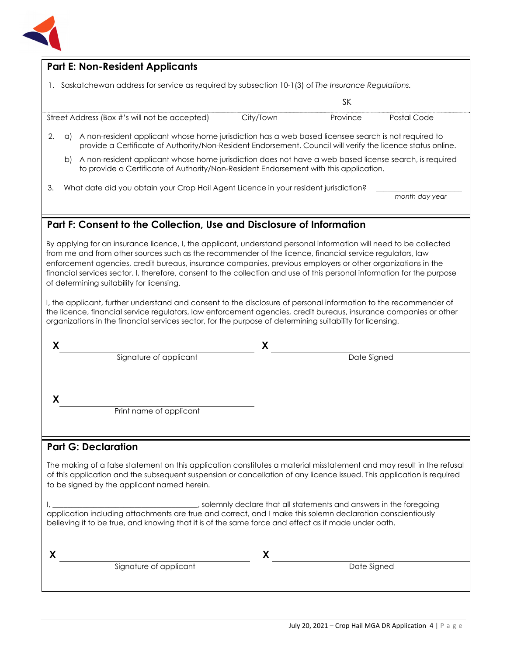

#### **Part E: Non-Resident Applicants**

1. Saskatchewan address for service as required by subsection 10-1(3) of *The Insurance Regulations.*

Street Address (Box #'s will not be accepted) City/Town Province Postal Code

- 2. a) A non-resident applicant whose home jurisdiction has a web based licensee search is not required to provide a Certificate of Authority/Non-Resident Endorsement. Council will verify the licence status online.
	- b) A non-resident applicant whose home jurisdiction does not have a web based license search, is required to provide a Certificate of Authority/Non-Resident Endorsement with this application.
- 3. What date did you obtain your Crop Hail Agent Licence in your resident jurisdiction?

SK

*month day year*

## **Part F: Consent to the Collection, Use and Disclosure of Information**

By applying for an insurance licence, I, the applicant, understand personal information will need to be collected from me and from other sources such as the recommender of the licence, financial service regulators, law enforcement agencies, credit bureaus, insurance companies, previous employers or other organizations in the financial services sector. I, therefore, consent to the collection and use of this personal information for the purpose of determining suitability for licensing.

I, the applicant, further understand and consent to the disclosure of personal information to the recommender of the licence, financial service regulators, law enforcement agencies, credit bureaus, insurance companies or other organizations in the financial services sector, for the purpose of determining suitability for licensing.

|                         | χ           |  |
|-------------------------|-------------|--|
| Signature of applicant  | Date Signed |  |
|                         |             |  |
|                         |             |  |
|                         |             |  |
| Print name of applicant |             |  |
|                         |             |  |
|                         |             |  |

#### **Part G: Declaration**

The making of a false statement on this application constitutes a material misstatement and may result in the refusal of this application and the subsequent suspension or cancellation of any licence issued. This application is required to be signed by the applicant named herein.

I, \_\_\_\_\_\_\_\_\_\_\_\_\_\_\_\_\_\_\_\_\_\_\_\_\_\_\_\_\_\_\_\_\_\_\_\_\_\_\_, solemnly declare that all statements and answers in the foregoing application including attachments are true and correct, and I make this solemn declaration conscientiously believing it to be true, and knowing that it is of the same force and effect as if made under oath.

**X X**  Signature of applicant and the Signature of applicant and the Date Signed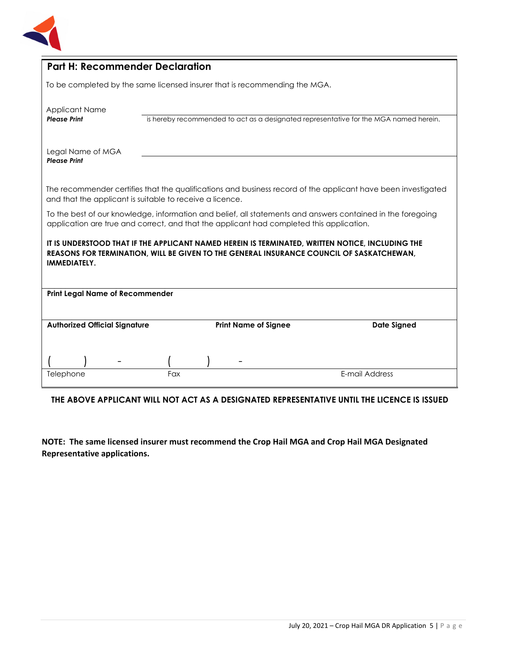

|                                                                                                                                                                                                              | <b>Part H: Recommender Declaration</b> |                             |  |                                                                                       |
|--------------------------------------------------------------------------------------------------------------------------------------------------------------------------------------------------------------|----------------------------------------|-----------------------------|--|---------------------------------------------------------------------------------------|
| To be completed by the same licensed insurer that is recommending the MGA.                                                                                                                                   |                                        |                             |  |                                                                                       |
| <b>Applicant Name</b><br><b>Please Print</b>                                                                                                                                                                 |                                        |                             |  | is hereby recommended to act as a designated representative for the MGA named herein. |
| Legal Name of MGA<br><b>Please Print</b>                                                                                                                                                                     |                                        |                             |  |                                                                                       |
| The recommender certifies that the qualifications and business record of the applicant have been investigated<br>and that the applicant is suitable to receive a licence.                                    |                                        |                             |  |                                                                                       |
| To the best of our knowledge, information and belief, all statements and answers contained in the foregoing<br>application are true and correct, and that the applicant had completed this application.      |                                        |                             |  |                                                                                       |
| IT IS UNDERSTOOD THAT IF THE APPLICANT NAMED HEREIN IS TERMINATED, WRITTEN NOTICE, INCLUDING THE<br>REASONS FOR TERMINATION, WILL BE GIVEN TO THE GENERAL INSURANCE COUNCIL OF SASKATCHEWAN,<br>IMMEDIATELY. |                                        |                             |  |                                                                                       |
| <b>Print Legal Name of Recommender</b>                                                                                                                                                                       |                                        |                             |  |                                                                                       |
| <b>Authorized Official Signature</b>                                                                                                                                                                         |                                        | <b>Print Name of Signee</b> |  | <b>Date Signed</b>                                                                    |
|                                                                                                                                                                                                              |                                        |                             |  |                                                                                       |
| Telephone                                                                                                                                                                                                    | Fax                                    |                             |  | E-mail Address                                                                        |

### **THE ABOVE APPLICANT WILL NOT ACT AS A DESIGNATED REPRESENTATIVE UNTIL THE LICENCE IS ISSUED**

**NOTE: The same licensed insurer must recommend the Crop Hail MGA and Crop Hail MGA Designated Representative applications.**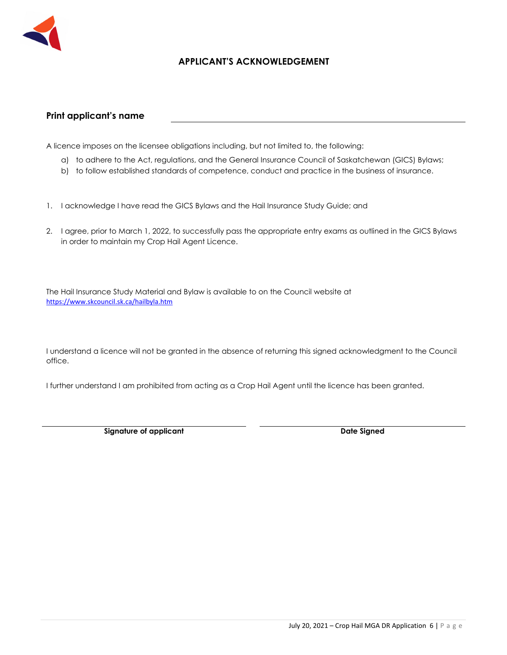

#### **APPLICANT'S ACKNOWLEDGEMENT**

#### **Print applicant's name**

A licence imposes on the licensee obligations including, but not limited to, the following:

- a) to adhere to the Act, regulations, and the General Insurance Council of Saskatchewan (GICS) Bylaws;
- b) to follow established standards of competence, conduct and practice in the business of insurance.
- 1. I acknowledge I have read the GICS Bylaws and the Hail Insurance Study Guide; and
- 2. I agree, prior to March 1, 2022, to successfully pass the appropriate entry exams as outlined in the GICS Bylaws in order to maintain my Crop Hail Agent Licence.

The Hail Insurance Study Material and Bylaw is available to on the Council website at https://www.skcouncil.sk.ca/hailbyla.htm

I understand a licence will not be granted in the absence of returning this signed acknowledgment to the Council office.

I further understand I am prohibited from acting as a Crop Hail Agent until the licence has been granted.

**Signature of applicant Case Controllering Case Controllering Case Controllering Date Signed Date Signed Accord**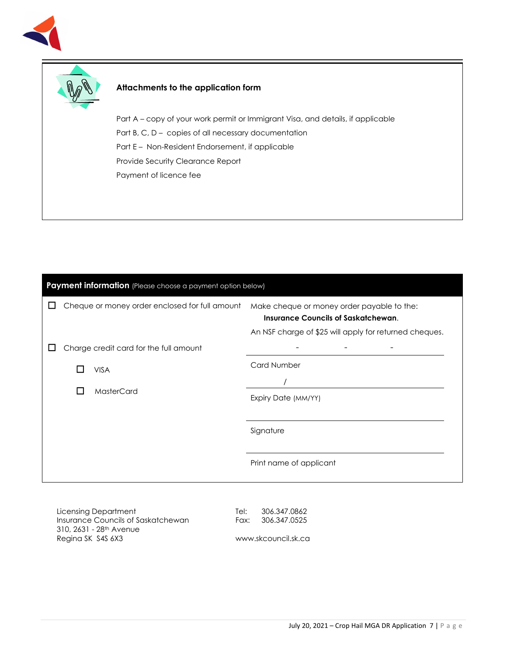



#### **Attachments to the application form**

Part A – copy of your work permit or Immigrant Visa, and details, if applicable Part B, C, D – copies of all necessary documentation Part E – Non-Resident Endorsement, if applicable Provide Security Clearance Report Payment of licence fee

| Payment information (Please choose a payment option below) |                                                |                                                |                                                                                                                                                    |
|------------------------------------------------------------|------------------------------------------------|------------------------------------------------|----------------------------------------------------------------------------------------------------------------------------------------------------|
|                                                            |                                                | Cheque or money order enclosed for full amount | Make cheque or money order payable to the:<br><b>Insurance Councils of Saskatchewan.</b><br>An NSF charge of \$25 will apply for returned cheques. |
|                                                            |                                                | Charge credit card for the full amount         |                                                                                                                                                    |
|                                                            | <b>VISA</b><br>H<br>MasterCard<br>$\mathsf{L}$ |                                                | <b>Card Number</b>                                                                                                                                 |
|                                                            |                                                |                                                | Expiry Date (MM/YY)                                                                                                                                |
|                                                            |                                                |                                                | Signature                                                                                                                                          |
|                                                            |                                                |                                                | Print name of applicant                                                                                                                            |
|                                                            |                                                |                                                |                                                                                                                                                    |

Licensing Department Insurance Councils of Saskatchewan 310, 2631 - 28th Avenue Regina SK S4S 6X3

Tel: 306.347.0862 Fax: 306.347.0525

www.skcouncil.sk.ca